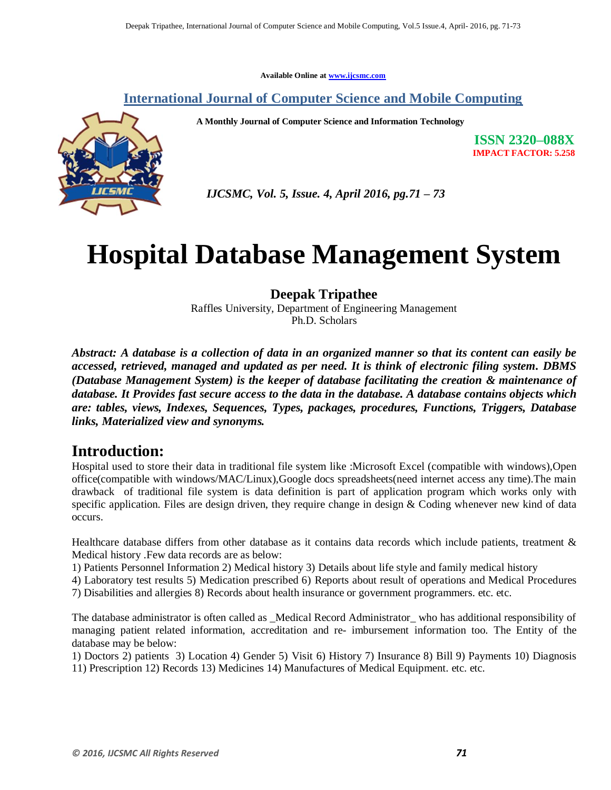**Available Online at [www.ijcsmc.com](http://www.ijcsmc.com/)**

**International Journal of Computer Science and Mobile Computing**

 **A Monthly Journal of Computer Science and Information Technology**

**ISSN 2320–088X IMPACT FACTOR: 5.258**



 *IJCSMC, Vol. 5, Issue. 4, April 2016, pg.71 – 73*

# **Hospital Database Management System**

#### **Deepak Tripathee**

Raffles University, Department of Engineering Management Ph.D. Scholars

*Abstract: A database is a collection of data in an organized manner so that its content can easily be accessed, retrieved, managed and updated as per need. It is think of electronic filing system. DBMS (Database Management System) is the keeper of database facilitating the creation & maintenance of database. It Provides fast secure access to the data in the database. A database contains objects which are: tables, views, Indexes, Sequences, Types, packages, procedures, Functions, Triggers, Database links, Materialized view and synonyms.* 

## **Introduction:**

Hospital used to store their data in traditional file system like :Microsoft Excel (compatible with windows),Open office(compatible with windows/MAC/Linux),Google docs spreadsheets(need internet access any time).The main drawback of traditional file system is data definition is part of application program which works only with specific application. Files are design driven, they require change in design  $\&$  Coding whenever new kind of data occurs.

Healthcare database differs from other database as it contains data records which include patients, treatment & Medical history .Few data records are as below:

1) Patients Personnel Information 2) Medical history 3) Details about life style and family medical history

4) Laboratory test results 5) Medication prescribed 6) Reports about result of operations and Medical Procedures

7) Disabilities and allergies 8) Records about health insurance or government programmers. etc. etc.

The database administrator is often called as \_Medical Record Administrator\_ who has additional responsibility of managing patient related information, accreditation and re- imbursement information too. The Entity of the database may be below:

1) Doctors 2) patients 3) Location 4) Gender 5) Visit 6) History 7) Insurance 8) Bill 9) Payments 10) Diagnosis 11) Prescription 12) Records 13) Medicines 14) Manufactures of Medical Equipment. etc. etc.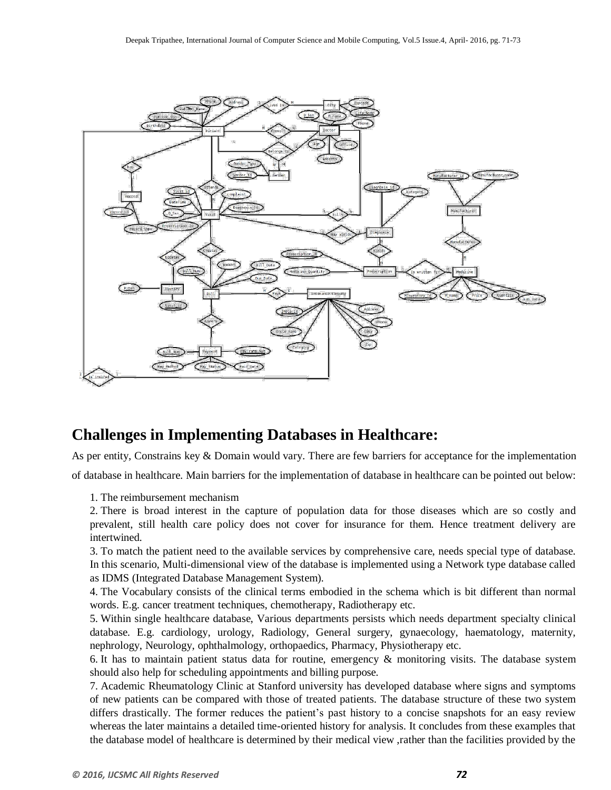

## **Challenges in Implementing Databases in Healthcare:**

As per entity, Constrains key & Domain would vary. There are few barriers for acceptance for the implementation

of database in healthcare. Main barriers for the implementation of database in healthcare can be pointed out below:

1. The reimbursement mechanism

2. There is broad interest in the capture of population data for those diseases which are so costly and prevalent, still health care policy does not cover for insurance for them. Hence treatment delivery are intertwined.

3. To match the patient need to the available services by comprehensive care, needs special type of database. In this scenario, Multi-dimensional view of the database is implemented using a Network type database called as IDMS (Integrated Database Management System).

4. The Vocabulary consists of the clinical terms embodied in the schema which is bit different than normal words. E.g. cancer treatment techniques, chemotherapy, Radiotherapy etc.

5. Within single healthcare database, Various departments persists which needs department specialty clinical database. E.g. cardiology, urology, Radiology, General surgery, gynaecology, haematology, maternity, nephrology, Neurology, ophthalmology, orthopaedics, Pharmacy, Physiotherapy etc.

6. It has to maintain patient status data for routine, emergency & monitoring visits. The database system should also help for scheduling appointments and billing purpose.

7. Academic Rheumatology Clinic at Stanford university has developed database where signs and symptoms of new patients can be compared with those of treated patients. The database structure of these two system differs drastically. The former reduces the patient's past history to a concise snapshots for an easy review whereas the later maintains a detailed time-oriented history for analysis. It concludes from these examples that the database model of healthcare is determined by their medical view ,rather than the facilities provided by the